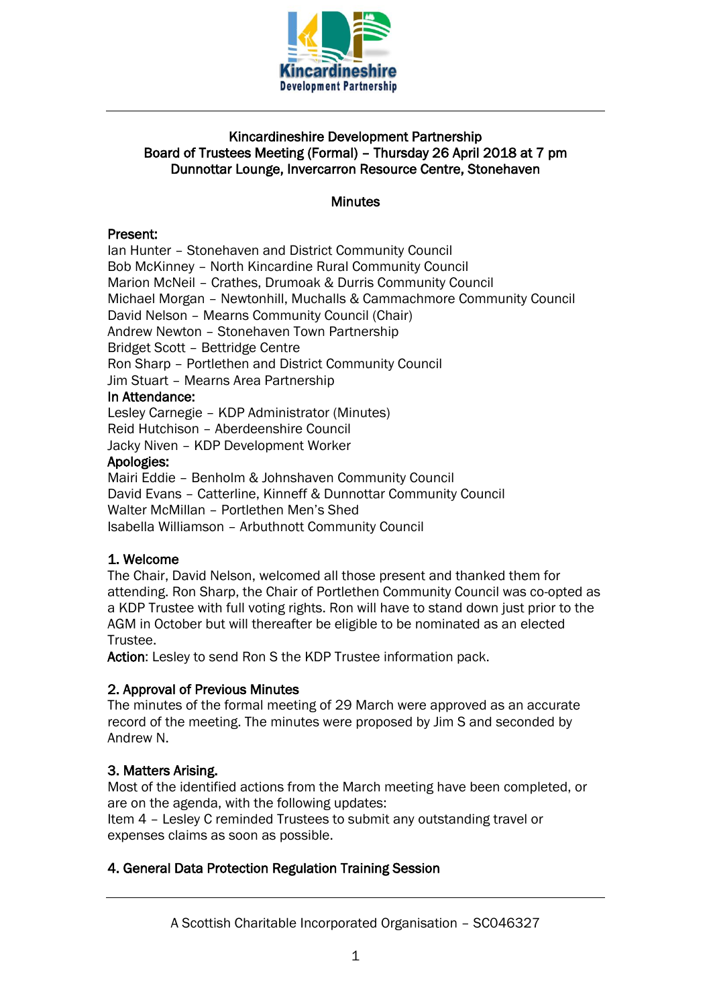

# Kincardineshire Development Partnership Board of Trustees Meeting (Formal) – Thursday 26 April 2018 at 7 pm Dunnottar Lounge, Invercarron Resource Centre, Stonehaven

### **Minutes**

### Present:

Ian Hunter – Stonehaven and District Community Council Bob McKinney – North Kincardine Rural Community Council Marion McNeil – Crathes, Drumoak & Durris Community Council Michael Morgan – Newtonhill, Muchalls & Cammachmore Community Council David Nelson – Mearns Community Council (Chair) Andrew Newton – Stonehaven Town Partnership Bridget Scott – Bettridge Centre Ron Sharp – Portlethen and District Community Council Jim Stuart – Mearns Area Partnership In Attendance:

Lesley Carnegie – KDP Administrator (Minutes) Reid Hutchison – Aberdeenshire Council Jacky Niven – KDP Development Worker

### Apologies:

Mairi Eddie – Benholm & Johnshaven Community Council David Evans – Catterline, Kinneff & Dunnottar Community Council Walter McMillan – Portlethen Men's Shed Isabella Williamson – Arbuthnott Community Council

# 1. Welcome

The Chair, David Nelson, welcomed all those present and thanked them for attending. Ron Sharp, the Chair of Portlethen Community Council was co-opted as a KDP Trustee with full voting rights. Ron will have to stand down just prior to the AGM in October but will thereafter be eligible to be nominated as an elected Trustee.

Action: Lesley to send Ron S the KDP Trustee information pack.

# 2. Approval of Previous Minutes

The minutes of the formal meeting of 29 March were approved as an accurate record of the meeting. The minutes were proposed by Jim S and seconded by Andrew N.

# 3. Matters Arising.

Most of the identified actions from the March meeting have been completed, or are on the agenda, with the following updates:

Item 4 – Lesley C reminded Trustees to submit any outstanding travel or expenses claims as soon as possible.

# 4. General Data Protection Regulation Training Session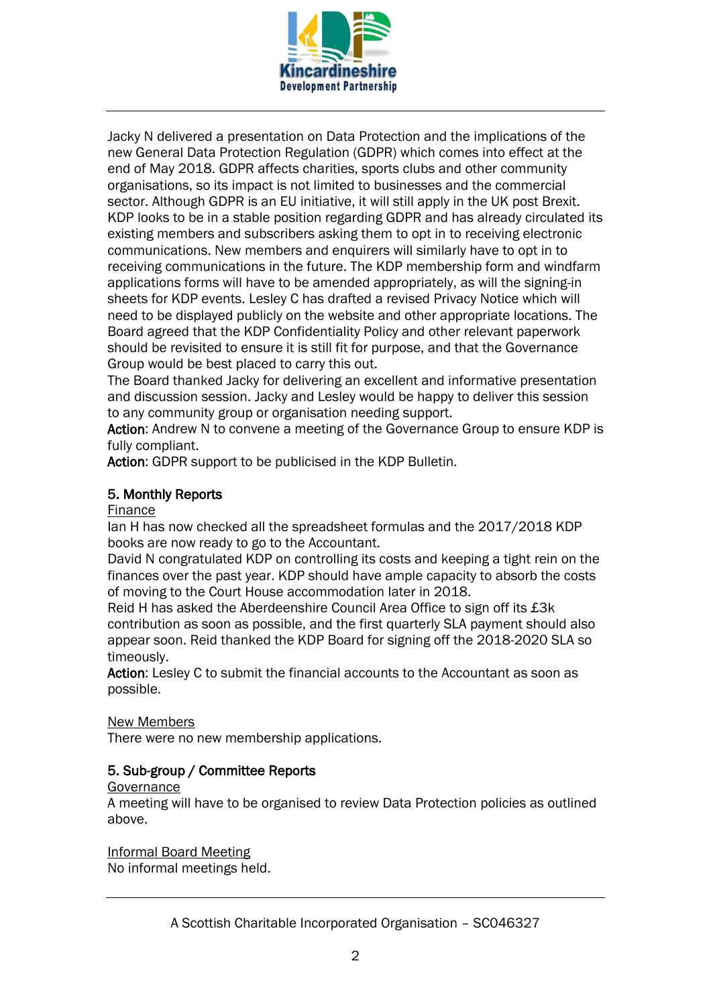

Jacky N delivered a presentation on Data Protection and the implications of the new General Data Protection Regulation (GDPR) which comes into effect at the end of May 2018. GDPR affects charities, sports clubs and other community organisations, so its impact is not limited to businesses and the commercial sector. Although GDPR is an EU initiative, it will still apply in the UK post Brexit. KDP looks to be in a stable position regarding GDPR and has already circulated its existing members and subscribers asking them to opt in to receiving electronic communications. New members and enquirers will similarly have to opt in to receiving communications in the future. The KDP membership form and windfarm applications forms will have to be amended appropriately, as will the signing-in sheets for KDP events. Lesley C has drafted a revised Privacy Notice which will need to be displayed publicly on the website and other appropriate locations. The Board agreed that the KDP Confidentiality Policy and other relevant paperwork should be revisited to ensure it is still fit for purpose, and that the Governance Group would be best placed to carry this out.

The Board thanked Jacky for delivering an excellent and informative presentation and discussion session. Jacky and Lesley would be happy to deliver this session to any community group or organisation needing support.

Action: Andrew N to convene a meeting of the Governance Group to ensure KDP is fully compliant.

Action: GDPR support to be publicised in the KDP Bulletin.

### 5. Monthly Reports

#### Finance

Ian H has now checked all the spreadsheet formulas and the 2017/2018 KDP books are now ready to go to the Accountant.

David N congratulated KDP on controlling its costs and keeping a tight rein on the finances over the past year. KDP should have ample capacity to absorb the costs of moving to the Court House accommodation later in 2018.

Reid H has asked the Aberdeenshire Council Area Office to sign off its £3k contribution as soon as possible, and the first quarterly SLA payment should also appear soon. Reid thanked the KDP Board for signing off the 2018-2020 SLA so timeously.

Action: Lesley C to submit the financial accounts to the Accountant as soon as possible.

#### New Members

There were no new membership applications.

### 5. Sub-group / Committee Reports

#### **Governance**

A meeting will have to be organised to review Data Protection policies as outlined above.

Informal Board Meeting

No informal meetings held.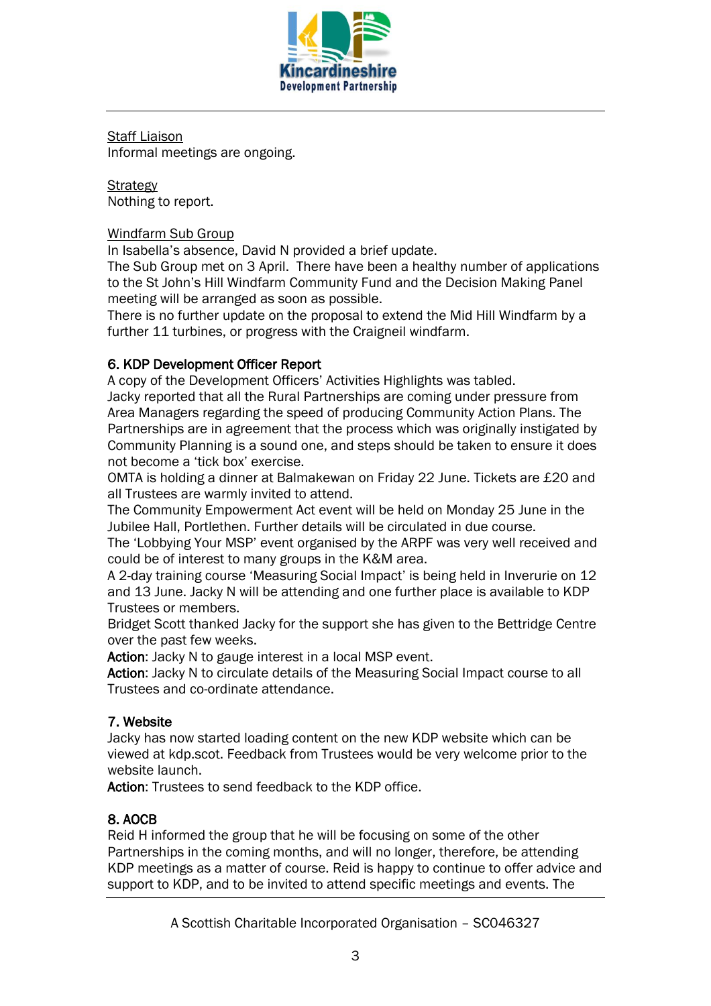

Staff Liaison Informal meetings are ongoing.

**Strategy** Nothing to report.

# Windfarm Sub Group

In Isabella's absence, David N provided a brief update.

The Sub Group met on 3 April. There have been a healthy number of applications to the St John's Hill Windfarm Community Fund and the Decision Making Panel meeting will be arranged as soon as possible.

There is no further update on the proposal to extend the Mid Hill Windfarm by a further 11 turbines, or progress with the Craigneil windfarm.

# 6. KDP Development Officer Report

A copy of the Development Officers' Activities Highlights was tabled.

Jacky reported that all the Rural Partnerships are coming under pressure from Area Managers regarding the speed of producing Community Action Plans. The Partnerships are in agreement that the process which was originally instigated by Community Planning is a sound one, and steps should be taken to ensure it does not become a 'tick box' exercise.

OMTA is holding a dinner at Balmakewan on Friday 22 June. Tickets are £20 and all Trustees are warmly invited to attend.

The Community Empowerment Act event will be held on Monday 25 June in the Jubilee Hall, Portlethen. Further details will be circulated in due course.

The 'Lobbying Your MSP' event organised by the ARPF was very well received and could be of interest to many groups in the K&M area.

A 2-day training course 'Measuring Social Impact' is being held in Inverurie on 12 and 13 June. Jacky N will be attending and one further place is available to KDP Trustees or members.

Bridget Scott thanked Jacky for the support she has given to the Bettridge Centre over the past few weeks.

Action: Jacky N to gauge interest in a local MSP event.

Action: Jacky N to circulate details of the Measuring Social Impact course to all Trustees and co-ordinate attendance.

# 7. Website

Jacky has now started loading content on the new KDP website which can be viewed at kdp.scot. Feedback from Trustees would be very welcome prior to the website launch.

Action: Trustees to send feedback to the KDP office.

# 8. AOCB

Reid H informed the group that he will be focusing on some of the other Partnerships in the coming months, and will no longer, therefore, be attending KDP meetings as a matter of course. Reid is happy to continue to offer advice and support to KDP, and to be invited to attend specific meetings and events. The